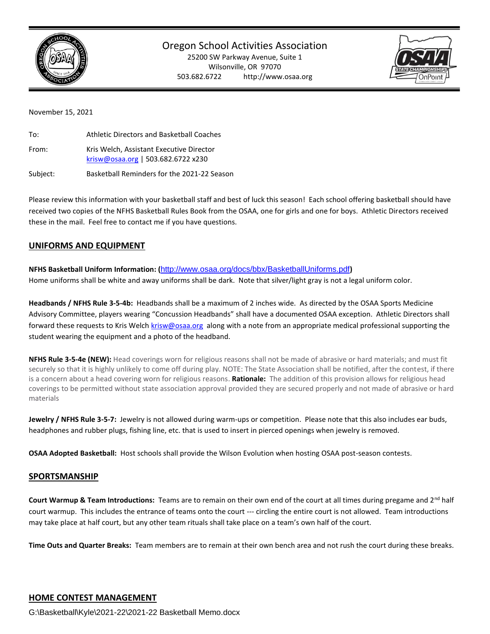

# Oregon School Activities Association

25200 SW Parkway Avenue, Suite 1 Wilsonville, OR 97070 503.682.6722 http://www.osaa.org



#### November 15, 2021

| To:      | Athletic Directors and Basketball Coaches                                      |
|----------|--------------------------------------------------------------------------------|
| From:    | Kris Welch, Assistant Executive Director<br>krisw@osaa.org   503.682.6722 x230 |
| Subject: | Basketball Reminders for the 2021-22 Season                                    |

Please review this information with your basketball staff and best of luck this season! Each school offering basketball should have received two copies of the NFHS Basketball Rules Book from the OSAA, one for girls and one for boys. Athletic Directors received these in the mail. Feel free to contact me if you have questions.

# **UNIFORMS AND EQUIPMENT**

**NFHS Basketball Uniform Information: (**<http://www.osaa.org/docs/bbx/BasketballUniforms.pdf>**)**  Home uniforms shall be white and away uniforms shall be dark. Note that silver/light gray is not a legal uniform color.

**Headbands / NFHS Rule 3-5-4b:** Headbands shall be a maximum of 2 inches wide. As directed by the OSAA Sports Medicine Advisory Committee, players wearing "Concussion Headbands" shall have a documented OSAA exception. Athletic Directors shall forward these requests to Kris Welch [krisw@osaa.org](mailto:krisw@osaa.org) along with a note from an appropriate medical professional supporting the student wearing the equipment and a photo of the headband.

**NFHS Rule 3-5-4e (NEW):** Head coverings worn for religious reasons shall not be made of abrasive or hard materials; and must fit securely so that it is highly unlikely to come off during play. NOTE: The State Association shall be notified, after the contest, if there is a concern about a head covering worn for religious reasons. **Rationale:** The addition of this provision allows for religious head coverings to be permitted without state association approval provided they are secured properly and not made of abrasive or hard materials

**Jewelry / NFHS Rule 3-5-7:** Jewelry is not allowed during warm-ups or competition. Please note that this also includes ear buds, headphones and rubber plugs, fishing line, etc. that is used to insert in pierced openings when jewelry is removed.

**OSAA Adopted Basketball:** Host schools shall provide the Wilson Evolution when hosting OSAA post-season contests.

## **SPORTSMANSHIP**

**Court Warmup & Team Introductions:** Teams are to remain on their own end of the court at all times during pregame and 2nd half court warmup. This includes the entrance of teams onto the court --- circling the entire court is not allowed. Team introductions may take place at half court, but any other team rituals shall take place on a team's own half of the court.

**Time Outs and Quarter Breaks:** Team members are to remain at their own bench area and not rush the court during these breaks.

G:\Basketball\Kyle\2021-22\2021-22 Basketball Memo.docx